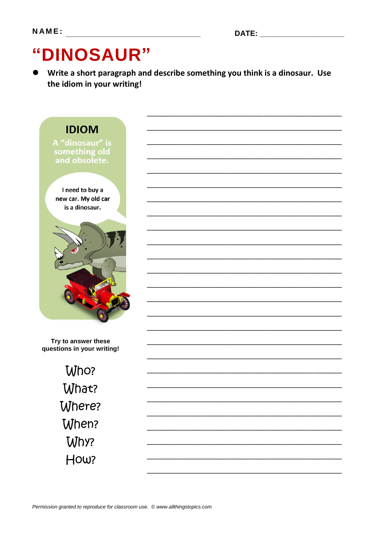# "DINOSAUR"

Write a short paragraph and describe something you think is a dinosaur. Use the idiom in your writing!